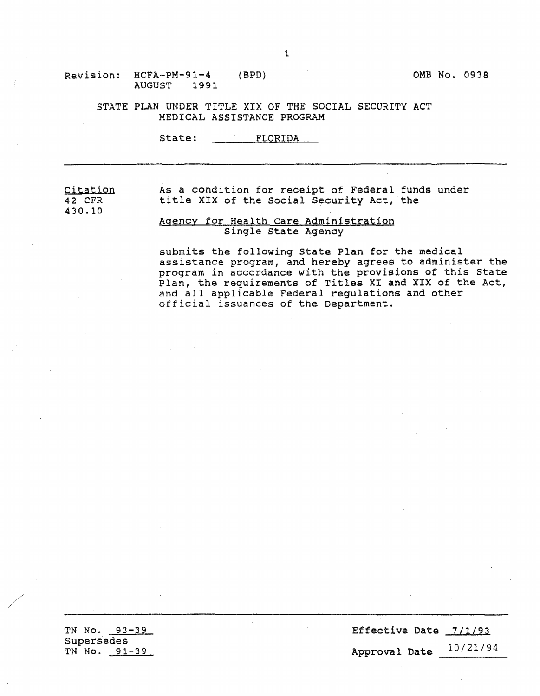### Revision: 'HCFA-PM-91-4 AUGUST 1991

STATE PLAN UNDER TITLE XIX OF THE SOCIAL SECURITY ACT MEDICAL ASSISTANCE PROGRAM

State: FLORIDA

citation 42 CFR 430.10 As a condition for receipt of Federal funds under title XIX of the Social Security Act, the Agency for Health Care Administration

# Single State Agency

submits the following state Plan for the medical assistance program, and hereby agrees to administer the program in accordance with the provisions of this State Plan, the requirements of Titles XI and XIX of the Act, and all applicable Federal regulations and other official issuances of the Department.

TN No. 93-39 Supersedes TN No. 91-39

Effective Date 7/1/93 Approval Date 10/21/94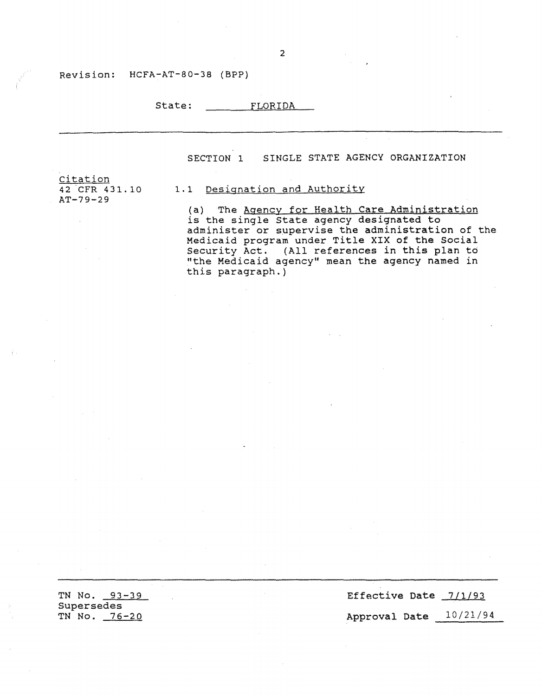### Revision: HCFA-AT-80-38 (BPP)

| State: | FLORIDA |
|--------|---------|
|        |         |

SECTION 1 SINGLE STATE AGENCY ORGANIZATION

Citation 42 CFR 431.10 AT-79-29

### 1.1 Designation and Authority

(a) The Agency for Health Care Administration is the single State agency designated to administer or supervise the administration of the Medicaid program under Title XIX of the Social Security Act. (All references in this plan to "the Medicaid agency" mean the agency named in this paragraph.)

TN No. 93-39 Supersedes TN No. 76-20

Effective Date  $7/1/93$ Approval Date 10/21/94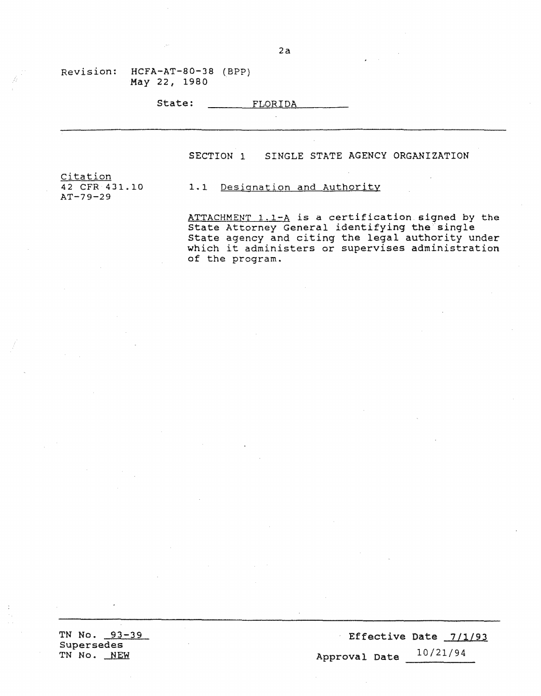| State: | FLORIDA |
|--------|---------|
|--------|---------|

SECTION 1 SINGLE STATE AGENCY ORGANIZATION

citation 42 CFR 431.10 AT-79-29

1.1 Designation and Authority

ATTACHMENT 1.1-A is a certification signed by the State Attorney General identifying the single state agency and citing the legal authority under which it administers or supervises administration of the program.

TN No. 93-39 Supersedes TN No. NEW

Effective Date 7/1/93 Approval Date 10/21/94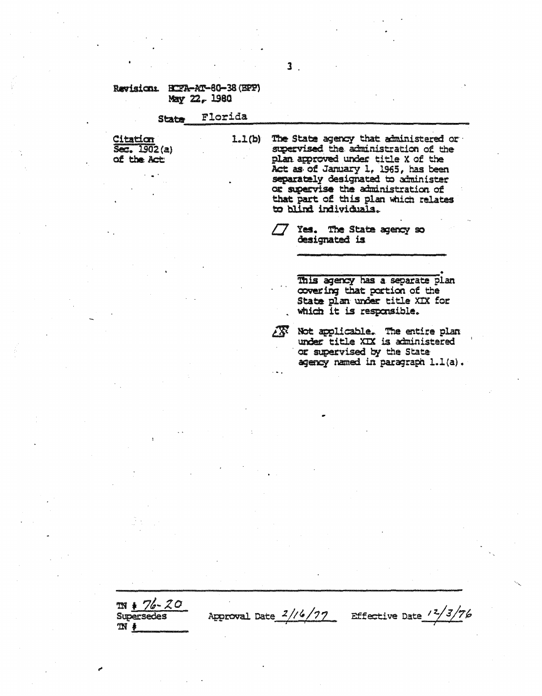### Ravision: HTZA-AT-60-38 (EPP) May 22, 1980

#### Florida **State**

Citation  $52.1902(a)$ of the Act

The State agency that administered or  $1.1(b)$ supervised the administration of the plan approved under title X of the Act as of January 1, 1965, has been separately designated to administer or supervise the administration of that part of this plan which relates to blind individuals.

> Yes. The State agency so designated is

> > This agency has a separate plan covering that portion of the State plan under title XIX for which it is responsible.

Not applicable. The entire plan under title XIX is administered or supervised by the State agency named in paragraph 1.1(a).

 $m * 76 - 20$ **Supersedes**  $\mathfrak{M}$  #

Effective Date  $\frac{12}{3}/76$ 

XX.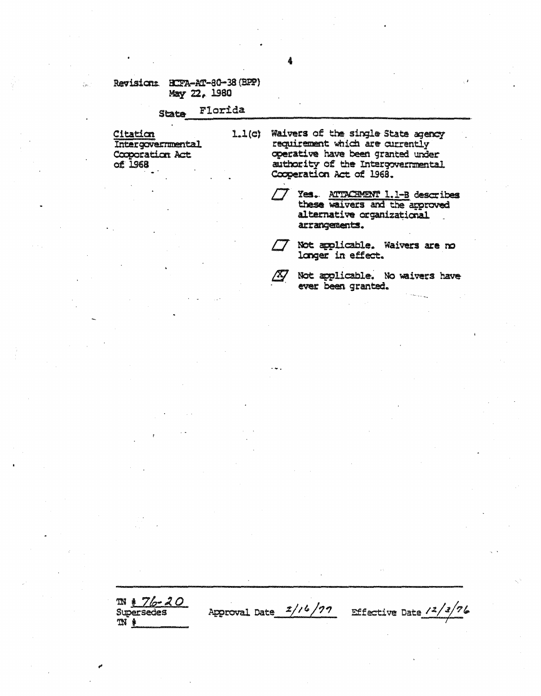#### Florida **State**

<u>Citation</u><br>Intergovernmental Cooporation Act  $of$  1968

 $\frac{1}{\sqrt{2\pi}}$ 

- $1.1(c)$ Waivers of the single State agency requirement which are currently operative have been granted under authority of the Intergovernmental Cooperation Act of 1968.
	- Yes. ATTACHMENT 1.1-B describes these waivers and the approved alternative organizational arrangements.
		- Not applicable. Waivers are no longer in effect.
	- /4/

Approval Date  $\frac{1}{\sqrt{2}}$ 

Not applicable. No waivers have ever been granted.

Effective Date  $\frac{12}{3}$ 

 $N + 76 - 20$ **Supersedes**  $m *$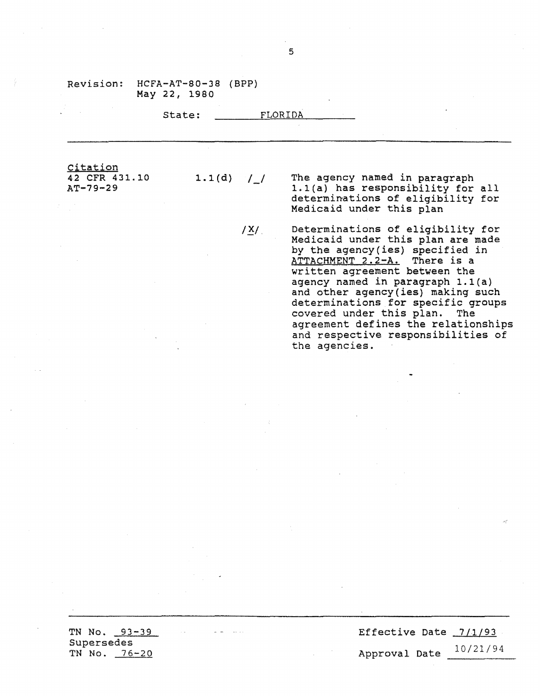|                                         | State:       | FLORIDA |                                                                                                                                                                                                                                                      |
|-----------------------------------------|--------------|---------|------------------------------------------------------------------------------------------------------------------------------------------------------------------------------------------------------------------------------------------------------|
| Citation<br>42 CFR 431.10<br>$AT-79-29$ | $1.1(d)$ / / |         | The agency named in paragraph<br>1.1(a) has responsibility for all<br>determinations of eligibility for<br>Medicaid under this plan                                                                                                                  |
|                                         |              | /X/     | Determinations of eligibility for<br>Medicaid under this plan are made<br>by the agency (ies) specified in<br>ATTACHMENT 2.2-A. There is a<br>written agreement between the<br>agency named in paragraph 1.1(a)<br>and other agency(ies) making such |

**TN No.** 93-39 Supersedes TN No. 76-20

Effective Date 7/1/93 Approval Date 10/21/94

determinations for specific groups

agreement defines the relationships and respective responsibilities of

covered under this plan. The

the agencies.

State: FLORIDA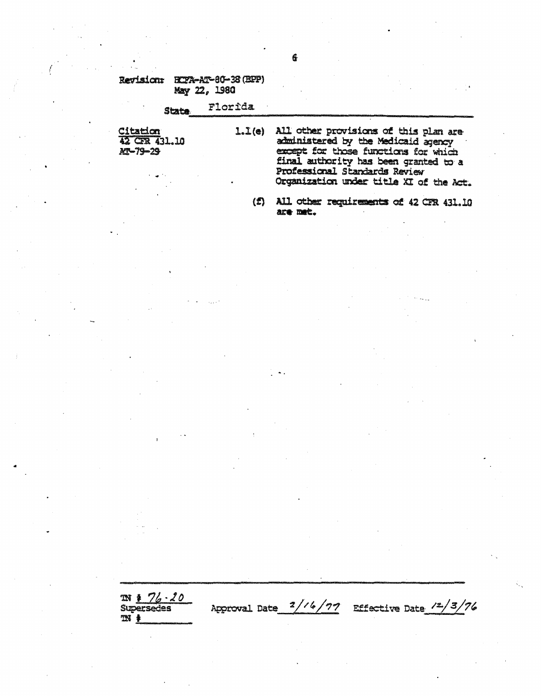#### Florida **State**

**Citation** 42 CFR 431.10 M-79-29

1.1(e) All other provisions of this plan are administered by the Medicaid agency except for those functions for which final authority has been granted to a Professional Standards Review Organization under title XI of the Act.

(f) All other requirements of 42 CFR 431.10 are met.

Approval Date  $2/16/77$  Effective Date  $/2/3/76$ 

 $\frac{m + 76 \cdot 20}{\text{Supersedes}}$  $M_{\ast}$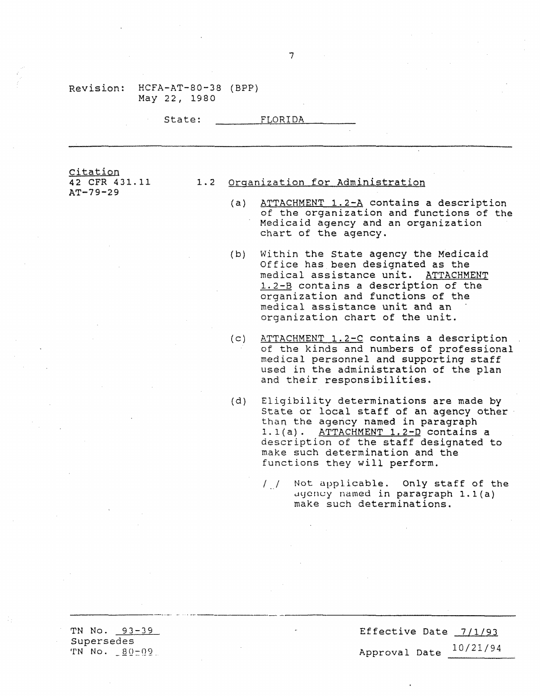|                                                                                                                                                                                                                                                                                             | State: |     | FLORIDA                                                                                                                                                                                                                                                                     |
|---------------------------------------------------------------------------------------------------------------------------------------------------------------------------------------------------------------------------------------------------------------------------------------------|--------|-----|-----------------------------------------------------------------------------------------------------------------------------------------------------------------------------------------------------------------------------------------------------------------------------|
|                                                                                                                                                                                                                                                                                             |        |     |                                                                                                                                                                                                                                                                             |
| <u>Citation</u><br>42 CFR 431.11                                                                                                                                                                                                                                                            |        |     | 1.2 Organization for Administration                                                                                                                                                                                                                                         |
| AT-79-29                                                                                                                                                                                                                                                                                    |        | (a) | ATTACHMENT 1.2-A contains a description<br>of the organization and functions of the<br>Medicaid agency and an organization<br>chart of the agency.                                                                                                                          |
|                                                                                                                                                                                                                                                                                             |        | (b) | Within the State agency the Medicaid<br>Office has been designated as the<br>medical assistance unit. ATTACHMENT<br>1.2-B contains a description of the<br>organization and functions of the<br>medical assistance unit and an<br>organization chart of the unit.           |
|                                                                                                                                                                                                                                                                                             |        | (c) | ATTACHMENT 1.2-C contains a description<br>of the kinds and numbers of professional<br>medical personnel and supporting staff<br>used in the administration of the plan<br>and their responsibilities.                                                                      |
|                                                                                                                                                                                                                                                                                             |        | (d) | Eligibility determinations are made by<br>State or local staff of an agency other<br>than the agency named in paragraph<br>1.1(a). ATTACHMENT 1.2-D contains a<br>description of the staff designated to<br>make such determination and the<br>functions they will perform. |
|                                                                                                                                                                                                                                                                                             |        |     | Not applicable. Only staff of the<br>$\frac{1}{2}$<br>agency named in paragraph 1.1(a)<br>make such determinations.                                                                                                                                                         |
| $\label{eq:2.1} \mathcal{L}(\mathcal{L}^{\text{max}}_{\mathcal{L}}(\mathcal{L}^{\text{max}}_{\mathcal{L}}),\mathcal{L}^{\text{max}}_{\mathcal{L}}(\mathcal{L}^{\text{max}}_{\mathcal{L}}))\leq \mathcal{L}(\mathcal{L}^{\text{max}}_{\mathcal{L}}(\mathcal{L}^{\text{max}}_{\mathcal{L}}))$ |        |     | $\mathcal{O}(\mathcal{O}(1))$ . The contract of the contract of the contract of the contract of the contract of the contract of the contract of the contract of the contract of the contract of the contract of the contract of the contra                                  |
|                                                                                                                                                                                                                                                                                             |        |     |                                                                                                                                                                                                                                                                             |

Effective Date 7/1/93 Approval Date 10/21/94

 $\ddot{\phantom{a}}$ 

TN No. 93-39 Supersedes  $TN N0. 80-09$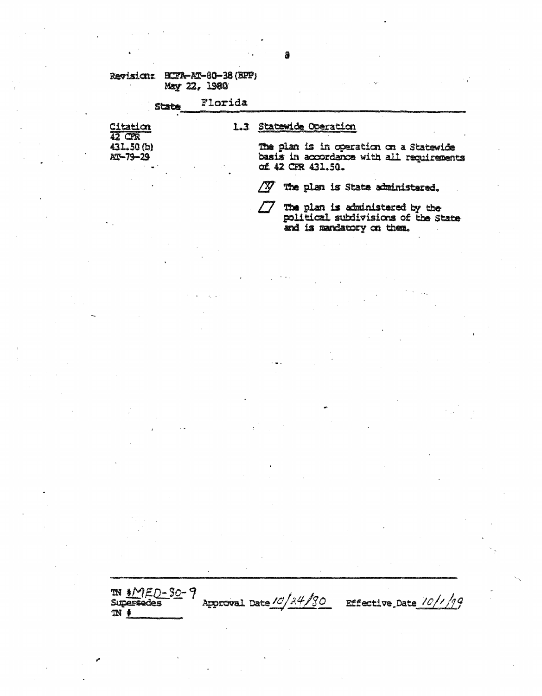#### Florida **State**

Citation **12 CR** 431.50 (b) AT-79-29

### 1.3 Statewide Operation

The plan is in operation on a Statewide basis in accordance with all requirements of 42 CFR 431.50.

 $\sqrt{N}$ The plan is State administered.

The plan is administered by the 75 political subdivisions of the State and is mandatory on them.

IN MED-80-9<br>Supersedes Effective Date  $10/1/19$ Approval Date 10/24/80  $M$   $\ast$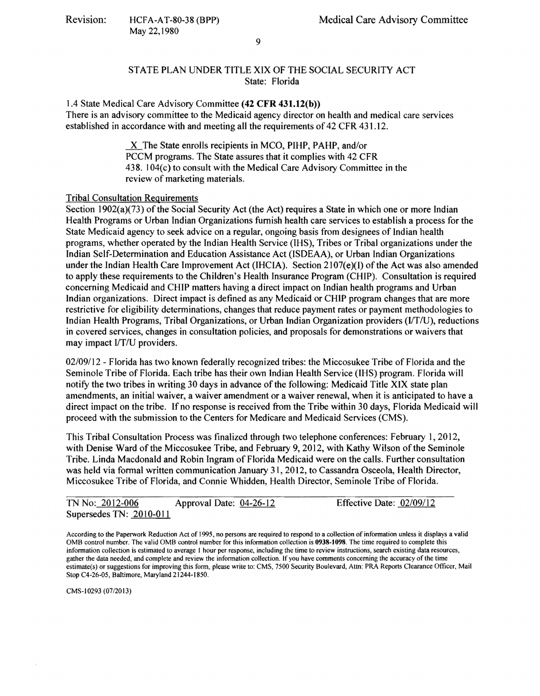## STATE PLAN UNDER TITLE XIX OF THE SOCIAL SECURITY ACT State: Florida

1.4 State Medical Care Advisory Committee **(42 CFR 431.12(b))**  There is an advisory committee to the Medicaid agency director on health and medical care services established in accordance with and meeting all the requirements of 42 CFR 431.12.

> X The State enrolls recipients in MCO, PIHP, PAHP, and/or PCCM programs. The State assures that it complies with 42 CFR 438. 104(c) to consult with the Medical Care Advisory Committee in the review of marketing materials.

# Tribal Consultation Requirements

Section 1902(a)(73) of the Social Security Act (the Act) requires a State in which one or more Indian Health Programs or Urban Indian Organizations furnish health care services to establish a process for the State Medicaid agency to seek advice on a regular, ongoing basis from designees of Indian health programs, whether operated by the Indian Health Service (IHS), Tribes or Tribal organizations under the Indian Self-Determination and Education Assistance Act (ISDEAA), or Urban Indian Organizations under the Indian Health Care Improvement Act (IHCIA). Section 2107(e)(I) of the Act was also amended to apply these requirements to the Children's Health Insurance Program (CHIP). Consultation is required concerning Medicaid and CHIP matters having a direct impact on Indian health programs and Urban Indian organizations. Direct impact is defined as any Medicaid or CHIP program changes that are more restrictive for eligibility determinations, changes that reduce payment rates or payment methodologies to Indian Health Programs, Tribal Organizations, or Urban Indian Organization providers (J/T/U), reductions in covered services, changes in consultation policies, and proposals for demonstrations or waivers that may impact I/T/U providers.

02/09/12 - Florida has two known federally recognized tribes: the Miccosukee Tribe of Florida and the Seminole Tribe of Florida. Each tribe has their own Indian Health Service (IHS) program. Florida will notify the two tribes in writing 30 days in advance of the following: Medicaid Title XIX state plan amendments, an initial waiver, a waiver amendment or a waiver renewal, when it is anticipated to have a direct impact on the tribe. If no response is received from the Tribe within 30 days, Florida Medicaid will proceed with the submission to the Centers for Medicare and Medicaid Services (CMS).

This Tribal Consultation Process was finalized through two telephone conferences: February 1, 2012, with Denise Ward of the Miccosukee Tribe, and February 9, 2012, with Kathy Wilson of the Seminole Tribe. Linda Macdonald and Robin Ingram of Florida Medicaid were on the calls. Further consultation was held via formal written communication January 31, 2012, to Cassandra Osceola, Health Director, Miccosukee Tribe of Florida, and Connie Whidden, Health Director, Seminole Tribe of Florida.

| TN No: 2012-006           | Approval Date: $04-26-12$ | Effective Date: 02/09/12 |  |
|---------------------------|---------------------------|--------------------------|--|
| Supersedes TN: $2010-011$ |                           |                          |  |

According to the Paperwork Reduction Act of 1995, no persons are required to respond to a collection of infonnation unless it displays a valid 0MB control number. The valid 0MB control number for this infonnation collection is **0938-1098.** The time required to complete this infonnation collection is estimated to average I hour per response, including the time to review instructions, search existing data resources, gather the data needed, and complete and review the infonnation co11ection. If you have comments concerning the accuracy of the time estimate(s) or suggestions for improving this fonn, please write to: CMS, 7500 Security Boulevard, Attn: PRA Reports Clearance Officer, Mail Stop C4-26-05, Baltimore, Maryland 21244-1850.

CMS-10293 (07/2013)

9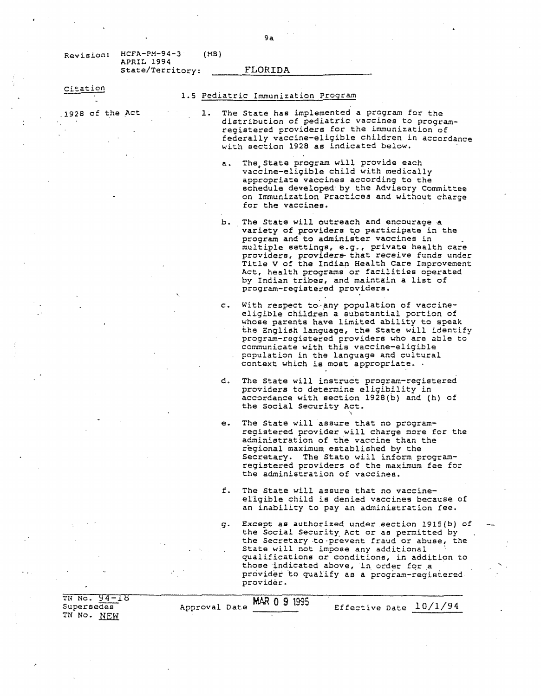Revision: HCFA-PH-94-3 (MB) APRIL 1994 State/Territory: FLORIDA

Citation

. 1928 of the .Act

### 1.5 Pediatric Immunization Program

- l. The State has implemented a program for the distribution of pediatric vaccines to programregistered providers for the immunization of federally vaccine-eligible children in accordance with section 1928 as indicated below,
	- a. The State program will provide each vaccine-eligible child with medically appropriate vaccines according to the schedule developed by the Advisory Committee on Immunization Practices and without charge for the vaccines.
	- b. The State will outreach and encourage a variety of providers to participate in the program and to administer vaccines in . multiple settings, e.g., private health care providers, providers- that receive funds under Title V of the Indian Health Care Improvement Act, health programs or facilities operated by Indian tribes, and maintain a list of program-registered providers.
	- c. With respect to any population of vaccineeligible children a substantial portion of whose parents have limited ability to speak the English language, the State will identify program-registered providers who are able to communicate with this vaccine-eligible population in the language and cultural context which is most appropriate. ·
	- d. The State will instruct program-registered providers to determine eligibility in accordance with section 1928(b} and (h} of the Social Security Act.
	- e. The State will assure that no programregistered provider will charge more for the administration of the vaccine than the regional maximum established by the Secretary. The State will inform programregistered providers of the maximum fee for the administration of vaccines.

 $\ddot{\phantom{1}}$ 

- f. The State will assure that no vaccineellgible child is denied vaccines because of an inability to pay an administration fee.
- g. Except as authorized under section 1915(b) of the Social Security Act or as permitted by the Secretary to·prevent fraud or abuse, the State will not impose any additional qualifications or conditions, in addition to those indicated above, in order for a provider to qualify as a program-registered provider.

TH Na. 94-18 Supersedes TN No. NEW Approval Date MAR 0 9 1995<br>Effective Date 10/1/94